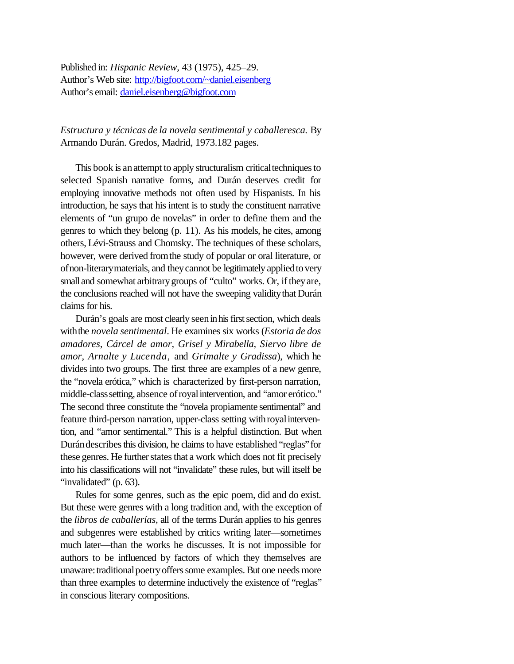Published in: *Hispanic Review,* 43 (1975), 425–29. Author's Web site: http://bigfoot.com/~daniel.eisenberg Author's email: daniel.eisenberg@bigfoot.com

*Estructura y técnicas de la novela sentimental y caballeresca.* By Armando Durán. Gredos, Madrid, 1973.182 pages.

This book is an attempt to apply structuralism critical techniques to selected Spanish narrative forms, and Durán deserves credit for employing innovative methods not often used by Hispanists. In his introduction, he says that his intent is to study the constituent narrative elements of "un grupo de novelas" in order to define them and the genres to which they belong (p. 11). As his models, he cites, among others, Lévi-Strauss and Chomsky. The techniques of these scholars, however, were derived fromthe study of popular or oral literature, or ofnon-literarymaterials, and theycannot be legitimately appliedtovery small and somewhat arbitrary groups of "culto" works. Or, if they are, the conclusions reached will not have the sweeping validity that Durán claims for his.

Durán's goals are most clearly seen in his first section, which deals withthe *novela sentimental*. He examines six works (*Estoria de dos amadores, Cárcel de amor, Grisel y Mirabella, Siervo libre de amor, Arnalte y Lucenda,* and *Grimalte y Gradissa*), which he divides into two groups. The first three are examples of a new genre, the "novela erótica," which is characterized by first-person narration, middle-class setting, absence of royal intervention, and "amor erótico." The second three constitute the "novela propiamente sentimental" and feature third-person narration, upper-class setting withroyalintervention, and "amor sentimental." This is a helpful distinction. But when Durán describes this division, he claims to have established "reglas" for these genres. He further states that a work which does not fit precisely into his classifications will not "invalidate" these rules, but will itself be "invalidated" (p. 63).

Rules for some genres, such as the epic poem, did and do exist. But these were genres with a long tradition and, with the exception of the *libros de caballerías,* all of the terms Durán applies to his genres and subgenres were established by critics writing later—sometimes much later—than the works he discusses. It is not impossible for authors to be influenced by factors of which they themselves are unaware: traditional poetry offers some examples. But one needs more than three examples to determine inductively the existence of "reglas" in conscious literary compositions.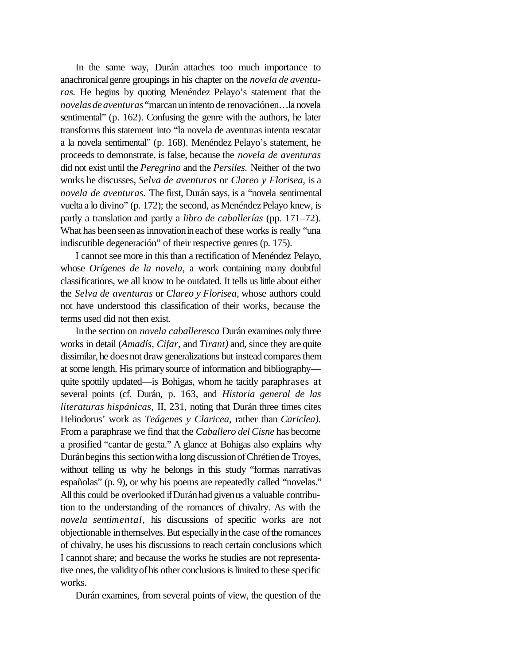In the same way, Durán attaches too much importance to anachronicalgenre groupings in his chapter on the *novela de aventuras.* He begins by quoting Menéndez Pelayo's statement that the *novelas deaventuras* "marcanunintento de renovaciónen…la novela sentimental" (p. 162). Confusing the genre with the authors, he later transforms this statement into "la novela de aventuras intenta rescatar a la novela sentimental" (p. 168). Menéndez Pelayo's statement, he proceeds to demonstrate, is false, because the *novela de aventuras* did not exist until the *Peregrino* and the *Persiles.* Neither of the two works he discusses, *Selva de aventuras* or *Clareo y Florisea,* is a *novela de aventuras.* The first, Durán says, is a "novela sentimental vuelta a lo divino" (p. 172); the second, as Menéndez Pelayo knew, is partly a translation and partly a *libro de caballerías* (pp. 171–72). What has been seen as innovation in each of these works is really "una indiscutible degeneración" of their respective genres (p. 175).

I cannot see more in this than a rectification of Menéndez Pelayo, whose *Orígenes de la novela*, a work containing many doubtful classifications, we all know to be outdated. It tells uslittle about either the *Selva de aventuras* or *Clareo y Florisea*, whose authors could not have understood this classification of their works, because the terms used did not then exist.

Inthe section on *novela caballeresca* Durán examines only three works in detail (*Amadís, Cifar,* and *Tirant)* and, since they are quite dissimilar, he does not draw generalizations but instead compares them at some length. His primarysource of information and bibliography quite spottily updated—is Bohigas, whom he tacitly paraphrases at several points (cf. Durán, p. 163, and *Historia general de las literaturas hispánicas,* II, 231, noting that Durán three times cites Heliodorus' work as *Teágenes y Claricea,* rather than *Cariclea).* From a paraphrase we find that the *Caballero del Cisne* has become a prosified "cantar de gesta." A glance at Bohigas also explains why Duránbegins this sectionwitha long discussionofChrétiende Troyes, without telling us why he belongs in this study "formas narrativas españolas" (p. 9), or why his poems are repeatedly called "novelas." Allthis could be overlooked ifDuránhad givenus a valuable contribution to the understanding of the romances of chivalry. As with the *novela sentimental,* his discussions of specific works are not objectionable in themselves. But especially in the case of the romances of chivalry, he uses his discussions to reach certain conclusions which I cannot share; and because the works he studies are not representative ones, the validityofhis other conclusions islimited to these specific works.

Durán examines, from several points of view, the question of the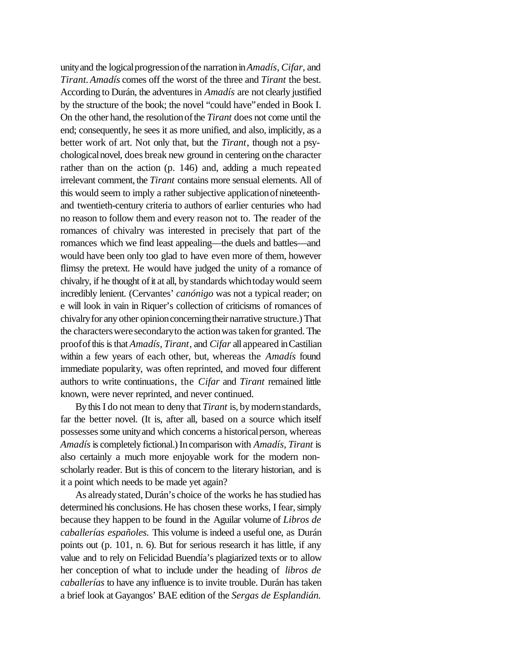unityand the logicalprogressionofthe narrationin*Amadís, Cifar,* and *Tirant.Amadís* comes off the worst of the three and *Tirant* the best. According to Durán, the adventures in *Amadís* are not clearly justified by the structure of the book; the novel "could have"ended in Book I. On the other hand, the resolutionofthe *Tirant* does not come until the end; consequently, he sees it as more unified, and also, implicitly, as a better work of art. Not only that, but the *Tirant*, though not a psychologicalnovel, does break new ground in centering onthe character rather than on the action (p. 146) and, adding a much repeated irrelevant comment, the *Tirant* contains more sensual elements. All of this would seem to imply a rather subjective application of nineteenthand twentieth-century criteria to authors of earlier centuries who had no reason to follow them and every reason not to. The reader of the romances of chivalry was interested in precisely that part of the romances which we find least appealing—the duels and battles—and would have been only too glad to have even more of them, however flimsy the pretext. He would have judged the unity of a romance of chivalry, if he thought of it at all, by standards which today would seem incredibly lenient. (Cervantes' *canónigo* was not a typical reader; on e will look in vain in Riquer's collection of criticisms of romances of chivalry for any other opinion concerning their narrative structure.) That the characters were secondary to the action was taken for granted. The proofofthisisthat *Amadís, Tirant*, and *Cifar* all appeared inCastilian within a few years of each other, but, whereas the *Amadís* found immediate popularity, was often reprinted, and moved four different authors to write continuations, the *Cifar* and *Tirant* remained little known, were never reprinted, and never continued.

By this I do not mean to deny that *Tirant* is, by modern standards, far the better novel. (It is, after all, based on a source which itself possesses some unity and which concerns a historical person, whereas *Amadís*is completely fictional.)Incomparison with *Amadís, Tirant* is also certainly a much more enjoyable work for the modern nonscholarly reader. But is this of concern to the literary historian, and is it a point which needs to be made yet again?

As already stated, Durán's choice of the works he has studied has determined his conclusions. He has chosen these works, I fear, simply because they happen to be found in the Aguilar volume of *Libros de caballerías españoles.* This volume is indeed a useful one, as Durán points out (p. 101, n. 6). But for serious research it has little, if any value and to rely on Felicidad Buendía's plagiarized texts or to allow her conception of what to include under the heading of *libros de caballerías* to have any influence is to invite trouble. Durán has taken a brief look at Gayangos' BAE edition of the *Sergas de Esplandián.*